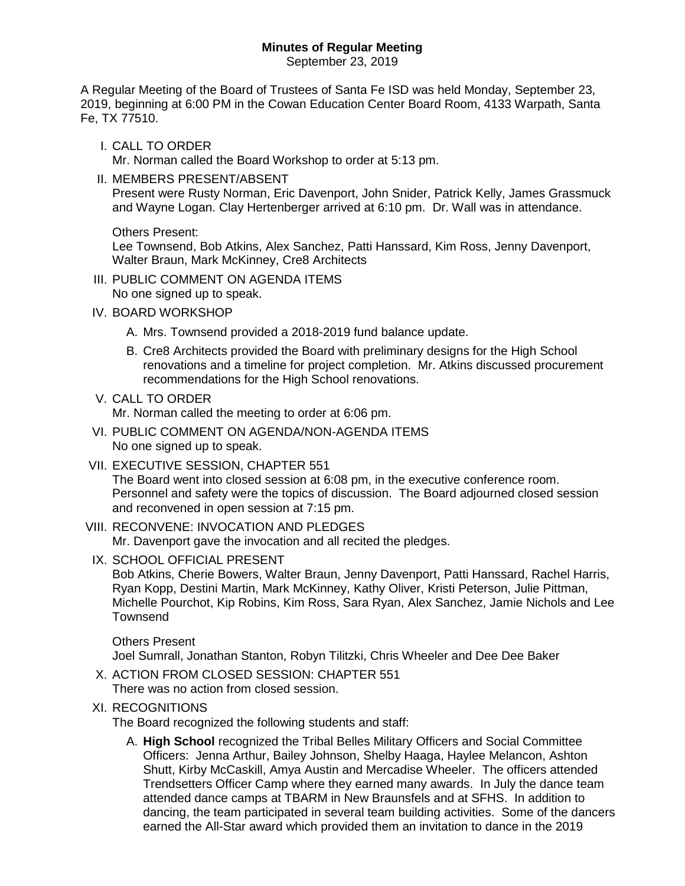# **Minutes of Regular Meeting**

September 23, 2019

A Regular Meeting of the Board of Trustees of Santa Fe ISD was held Monday, September 23, 2019, beginning at 6:00 PM in the Cowan Education Center Board Room, 4133 Warpath, Santa Fe, TX 77510.

I. CALL TO ORDER

Mr. Norman called the Board Workshop to order at 5:13 pm.

II. MEMBERS PRESENT/ABSENT Present were Rusty Norman, Eric Davenport, John Snider, Patrick Kelly, James Grassmuck and Wayne Logan. Clay Hertenberger arrived at 6:10 pm. Dr. Wall was in attendance.

Others Present:

Lee Townsend, Bob Atkins, Alex Sanchez, Patti Hanssard, Kim Ross, Jenny Davenport, Walter Braun, Mark McKinney, Cre8 Architects

- III. PUBLIC COMMENT ON AGENDA ITEMS No one signed up to speak.
- IV. BOARD WORKSHOP
	- A. Mrs. Townsend provided a 2018-2019 fund balance update.
	- B. Cre8 Architects provided the Board with preliminary designs for the High School renovations and a timeline for project completion. Mr. Atkins discussed procurement recommendations for the High School renovations.
- V. CALL TO ORDER

Mr. Norman called the meeting to order at 6:06 pm.

- VI. PUBLIC COMMENT ON AGENDA/NON-AGENDA ITEMS No one signed up to speak.
- VII. EXECUTIVE SESSION, CHAPTER 551

The Board went into closed session at 6:08 pm, in the executive conference room. Personnel and safety were the topics of discussion. The Board adjourned closed session and reconvened in open session at 7:15 pm.

- VIII. RECONVENE: INVOCATION AND PLEDGES Mr. Davenport gave the invocation and all recited the pledges.
	- IX. SCHOOL OFFICIAL PRESENT

Bob Atkins, Cherie Bowers, Walter Braun, Jenny Davenport, Patti Hanssard, Rachel Harris, Ryan Kopp, Destini Martin, Mark McKinney, Kathy Oliver, Kristi Peterson, Julie Pittman, Michelle Pourchot, Kip Robins, Kim Ross, Sara Ryan, Alex Sanchez, Jamie Nichols and Lee Townsend

Others Present Joel Sumrall, Jonathan Stanton, Robyn Tilitzki, Chris Wheeler and Dee Dee Baker

- X. ACTION FROM CLOSED SESSION: CHAPTER 551 There was no action from closed session.
- XI. RECOGNITIONS

The Board recognized the following students and staff:

A. **High School** recognized the Tribal Belles Military Officers and Social Committee Officers: Jenna Arthur, Bailey Johnson, Shelby Haaga, Haylee Melancon, Ashton Shutt, Kirby McCaskill, Amya Austin and Mercadise Wheeler. The officers attended Trendsetters Officer Camp where they earned many awards. In July the dance team attended dance camps at TBARM in New Braunsfels and at SFHS. In addition to dancing, the team participated in several team building activities. Some of the dancers earned the All-Star award which provided them an invitation to dance in the 2019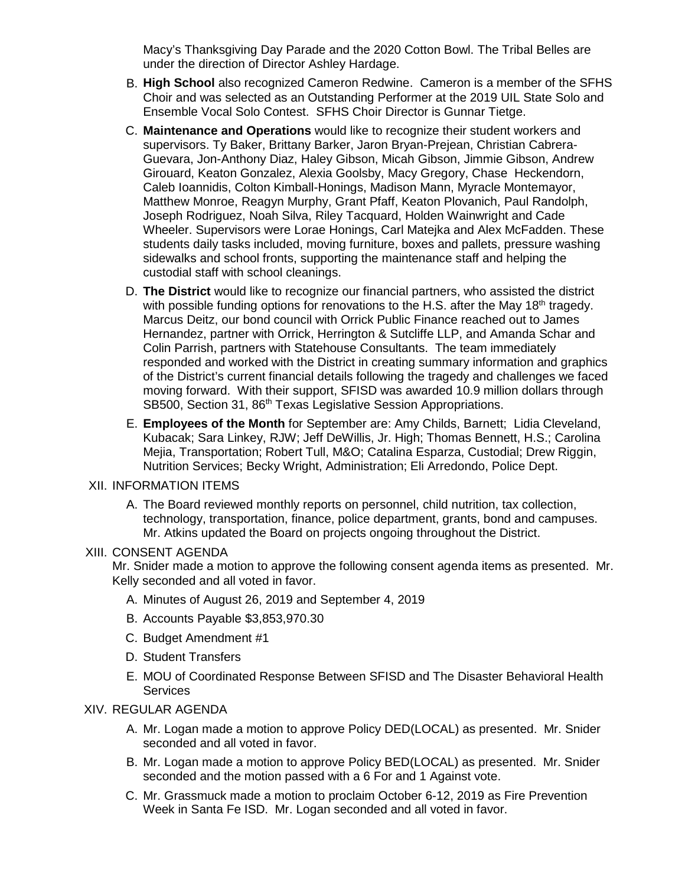Macy's Thanksgiving Day Parade and the 2020 Cotton Bowl. The Tribal Belles are under the direction of Director Ashley Hardage.

- B. **High School** also recognized Cameron Redwine. Cameron is a member of the SFHS Choir and was selected as an Outstanding Performer at the 2019 UIL State Solo and Ensemble Vocal Solo Contest. SFHS Choir Director is Gunnar Tietge.
- C. **Maintenance and Operations** would like to recognize their student workers and supervisors. Ty Baker, Brittany Barker, Jaron Bryan-Prejean, Christian Cabrera-Guevara, Jon-Anthony Diaz, Haley Gibson, Micah Gibson, Jimmie Gibson, Andrew Girouard, Keaton Gonzalez, Alexia Goolsby, Macy Gregory, Chase Heckendorn, Caleb Ioannidis, Colton Kimball-Honings, Madison Mann, Myracle Montemayor, Matthew Monroe, Reagyn Murphy, Grant Pfaff, Keaton Plovanich, Paul Randolph, Joseph Rodriguez, Noah Silva, Riley Tacquard, Holden Wainwright and Cade Wheeler. Supervisors were Lorae Honings, Carl Matejka and Alex McFadden. These students daily tasks included, moving furniture, boxes and pallets, pressure washing sidewalks and school fronts, supporting the maintenance staff and helping the custodial staff with school cleanings.
- D. **The District** would like to recognize our financial partners, who assisted the district with possible funding options for renovations to the H.S. after the May  $18<sup>th</sup>$  tragedy. Marcus Deitz, our bond council with Orrick Public Finance reached out to James Hernandez, partner with Orrick, Herrington & Sutcliffe LLP, and Amanda Schar and Colin Parrish, partners with Statehouse Consultants. The team immediately responded and worked with the District in creating summary information and graphics of the District's current financial details following the tragedy and challenges we faced moving forward. With their support, SFISD was awarded 10.9 million dollars through SB500, Section 31, 86<sup>th</sup> Texas Legislative Session Appropriations.
- E. **Employees of the Month** for September are: Amy Childs, Barnett; Lidia Cleveland, Kubacak; Sara Linkey, RJW; Jeff DeWillis, Jr. High; Thomas Bennett, H.S.; Carolina Mejia, Transportation; Robert Tull, M&O; Catalina Esparza, Custodial; Drew Riggin, Nutrition Services; Becky Wright, Administration; Eli Arredondo, Police Dept.

### XII. INFORMATION ITEMS

A. The Board reviewed monthly reports on personnel, child nutrition, tax collection, technology, transportation, finance, police department, grants, bond and campuses. Mr. Atkins updated the Board on projects ongoing throughout the District.

## XIII. CONSENT AGENDA

Mr. Snider made a motion to approve the following consent agenda items as presented. Mr. Kelly seconded and all voted in favor.

- A. Minutes of August 26, 2019 and September 4, 2019
- B. Accounts Payable \$3,853,970.30
- C. Budget Amendment #1
- D. Student Transfers
- E. MOU of Coordinated Response Between SFISD and The Disaster Behavioral Health **Services**

#### XIV. REGULAR AGENDA

- A. Mr. Logan made a motion to approve Policy DED(LOCAL) as presented. Mr. Snider seconded and all voted in favor.
- B. Mr. Logan made a motion to approve Policy BED(LOCAL) as presented. Mr. Snider seconded and the motion passed with a 6 For and 1 Against vote.
- C. Mr. Grassmuck made a motion to proclaim October 6-12, 2019 as Fire Prevention Week in Santa Fe ISD. Mr. Logan seconded and all voted in favor.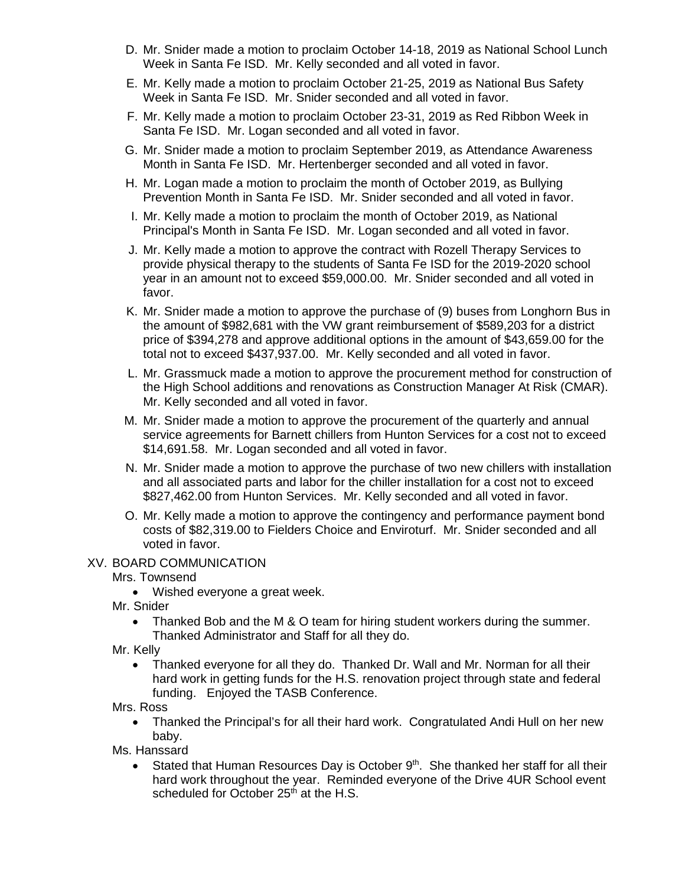- D. Mr. Snider made a motion to proclaim October 14-18, 2019 as National School Lunch Week in Santa Fe ISD. Mr. Kelly seconded and all voted in favor.
- E. Mr. Kelly made a motion to proclaim October 21-25, 2019 as National Bus Safety Week in Santa Fe ISD. Mr. Snider seconded and all voted in favor.
- F. Mr. Kelly made a motion to proclaim October 23-31, 2019 as Red Ribbon Week in Santa Fe ISD. Mr. Logan seconded and all voted in favor.
- G. Mr. Snider made a motion to proclaim September 2019, as Attendance Awareness Month in Santa Fe ISD. Mr. Hertenberger seconded and all voted in favor.
- H. Mr. Logan made a motion to proclaim the month of October 2019, as Bullying Prevention Month in Santa Fe ISD. Mr. Snider seconded and all voted in favor.
- I. Mr. Kelly made a motion to proclaim the month of October 2019, as National Principal's Month in Santa Fe ISD. Mr. Logan seconded and all voted in favor.
- J. Mr. Kelly made a motion to approve the contract with Rozell Therapy Services to provide physical therapy to the students of Santa Fe ISD for the 2019-2020 school year in an amount not to exceed \$59,000.00. Mr. Snider seconded and all voted in favor.
- K. Mr. Snider made a motion to approve the purchase of (9) buses from Longhorn Bus in the amount of \$982,681 with the VW grant reimbursement of \$589,203 for a district price of \$394,278 and approve additional options in the amount of \$43,659.00 for the total not to exceed \$437,937.00. Mr. Kelly seconded and all voted in favor.
- L. Mr. Grassmuck made a motion to approve the procurement method for construction of the High School additions and renovations as Construction Manager At Risk (CMAR). Mr. Kelly seconded and all voted in favor.
- M. Mr. Snider made a motion to approve the procurement of the quarterly and annual service agreements for Barnett chillers from Hunton Services for a cost not to exceed \$14,691.58. Mr. Logan seconded and all voted in favor.
- N. Mr. Snider made a motion to approve the purchase of two new chillers with installation and all associated parts and labor for the chiller installation for a cost not to exceed \$827,462.00 from Hunton Services. Mr. Kelly seconded and all voted in favor.
- O. Mr. Kelly made a motion to approve the contingency and performance payment bond costs of \$82,319.00 to Fielders Choice and Enviroturf. Mr. Snider seconded and all voted in favor.

## XV. BOARD COMMUNICATION

Mrs. Townsend

• Wished everyone a great week.

Mr. Snider

• Thanked Bob and the M & O team for hiring student workers during the summer. Thanked Administrator and Staff for all they do.

Mr. Kelly

• Thanked everyone for all they do. Thanked Dr. Wall and Mr. Norman for all their hard work in getting funds for the H.S. renovation project through state and federal funding. Enjoyed the TASB Conference.

Mrs. Ross

• Thanked the Principal's for all their hard work. Congratulated Andi Hull on her new baby.

Ms. Hanssard

Stated that Human Resources Day is October  $9<sup>th</sup>$ . She thanked her staff for all their hard work throughout the year. Reminded everyone of the Drive 4UR School event scheduled for October  $25<sup>th</sup>$  at the H.S.